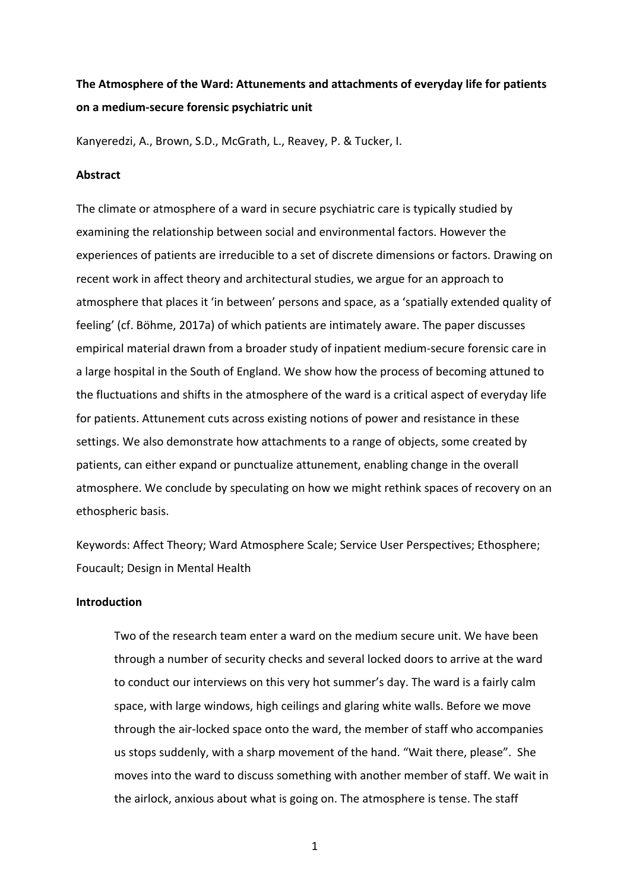# **The Atmosphere of the Ward: Attunements and attachments of everyday life for patients on a medium-secure forensic psychiatric unit**

Kanyeredzi, A., Brown, S.D., McGrath, L., Reavey, P. & Tucker, I.

# **Abstract**

The climate or atmosphere of a ward in secure psychiatric care is typically studied by examining the relationship between social and environmental factors. However the experiences of patients are irreducible to a set of discrete dimensions or factors. Drawing on recent work in affect theory and architectural studies, we argue for an approach to atmosphere that places it 'in between' persons and space, as a 'spatially extended quality of feeling' (cf. Böhme, 2017a) of which patients are intimately aware. The paper discusses empirical material drawn from a broader study of inpatient medium-secure forensic care in a large hospital in the South of England. We show how the process of becoming attuned to the fluctuations and shifts in the atmosphere of the ward is a critical aspect of everyday life for patients. Attunement cuts across existing notions of power and resistance in these settings. We also demonstrate how attachments to a range of objects, some created by patients, can either expand or punctualize attunement, enabling change in the overall atmosphere. We conclude by speculating on how we might rethink spaces of recovery on an ethospheric basis.

Keywords: Affect Theory; Ward Atmosphere Scale; Service User Perspectives; Ethosphere; Foucault; Design in Mental Health

# **Introduction**

Two of the research team enter a ward on the medium secure unit. We have been through a number of security checks and several locked doors to arrive at the ward to conduct our interviews on this very hot summer's day. The ward is a fairly calm space, with large windows, high ceilings and glaring white walls. Before we move through the air-locked space onto the ward, the member of staff who accompanies us stops suddenly, with a sharp movement of the hand. "Wait there, please". She moves into the ward to discuss something with another member of staff. We wait in the airlock, anxious about what is going on. The atmosphere is tense. The staff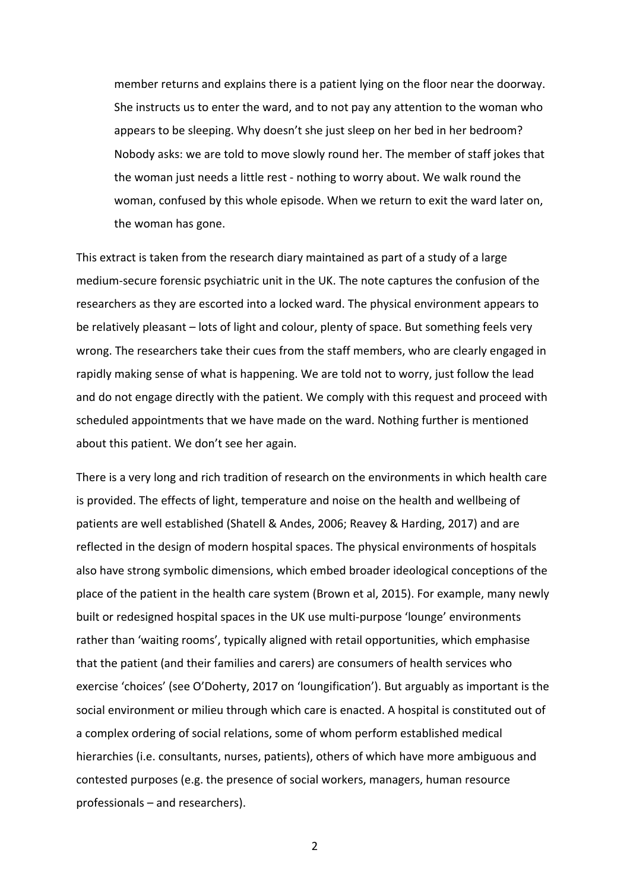member returns and explains there is a patient lying on the floor near the doorway. She instructs us to enter the ward, and to not pay any attention to the woman who appears to be sleeping. Why doesn't she just sleep on her bed in her bedroom? Nobody asks: we are told to move slowly round her. The member of staff jokes that the woman just needs a little rest - nothing to worry about. We walk round the woman, confused by this whole episode. When we return to exit the ward later on, the woman has gone.

This extract is taken from the research diary maintained as part of a study of a large medium-secure forensic psychiatric unit in the UK. The note captures the confusion of the researchers as they are escorted into a locked ward. The physical environment appears to be relatively pleasant – lots of light and colour, plenty of space. But something feels very wrong. The researchers take their cues from the staff members, who are clearly engaged in rapidly making sense of what is happening. We are told not to worry, just follow the lead and do not engage directly with the patient. We comply with this request and proceed with scheduled appointments that we have made on the ward. Nothing further is mentioned about this patient. We don't see her again.

There is a very long and rich tradition of research on the environments in which health care is provided. The effects of light, temperature and noise on the health and wellbeing of patients are well established (Shatell & Andes, 2006; Reavey & Harding, 2017) and are reflected in the design of modern hospital spaces. The physical environments of hospitals also have strong symbolic dimensions, which embed broader ideological conceptions of the place of the patient in the health care system (Brown et al, 2015). For example, many newly built or redesigned hospital spaces in the UK use multi-purpose 'lounge' environments rather than 'waiting rooms', typically aligned with retail opportunities, which emphasise that the patient (and their families and carers) are consumers of health services who exercise 'choices' (see O'Doherty, 2017 on 'loungification'). But arguably as important is the social environment or milieu through which care is enacted. A hospital is constituted out of a complex ordering of social relations, some of whom perform established medical hierarchies (i.e. consultants, nurses, patients), others of which have more ambiguous and contested purposes (e.g. the presence of social workers, managers, human resource professionals – and researchers).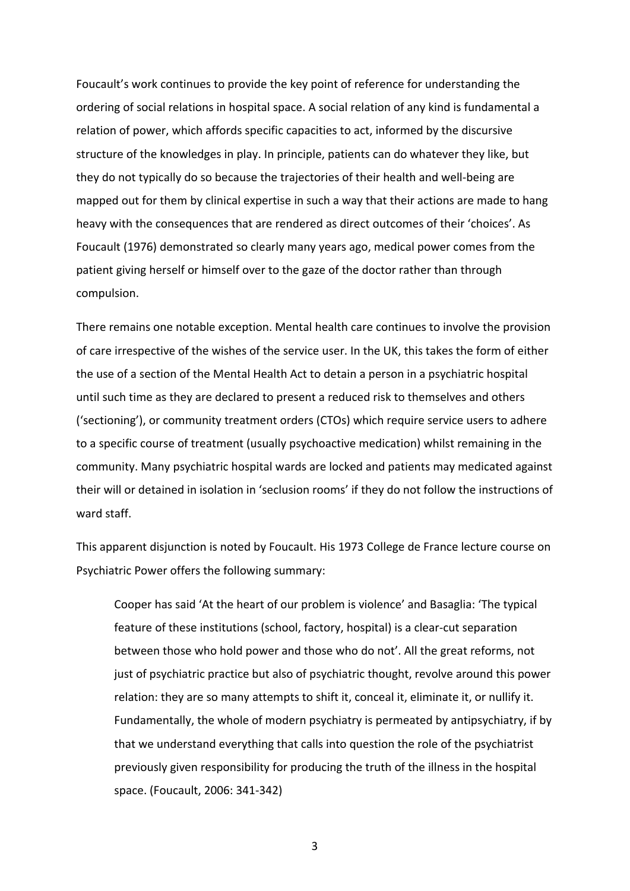Foucault's work continues to provide the key point of reference for understanding the ordering of social relations in hospital space. A social relation of any kind is fundamental a relation of power, which affords specific capacities to act, informed by the discursive structure of the knowledges in play. In principle, patients can do whatever they like, but they do not typically do so because the trajectories of their health and well-being are mapped out for them by clinical expertise in such a way that their actions are made to hang heavy with the consequences that are rendered as direct outcomes of their 'choices'. As Foucault (1976) demonstrated so clearly many years ago, medical power comes from the patient giving herself or himself over to the gaze of the doctor rather than through compulsion.

There remains one notable exception. Mental health care continues to involve the provision of care irrespective of the wishes of the service user. In the UK, this takes the form of either the use of a section of the Mental Health Act to detain a person in a psychiatric hospital until such time as they are declared to present a reduced risk to themselves and others ('sectioning'), or community treatment orders (CTOs) which require service users to adhere to a specific course of treatment (usually psychoactive medication) whilst remaining in the community. Many psychiatric hospital wards are locked and patients may medicated against their will or detained in isolation in 'seclusion rooms' if they do not follow the instructions of ward staff.

This apparent disjunction is noted by Foucault. His 1973 College de France lecture course on Psychiatric Power offers the following summary:

Cooper has said 'At the heart of our problem is violence' and Basaglia: 'The typical feature of these institutions (school, factory, hospital) is a clear-cut separation between those who hold power and those who do not'. All the great reforms, not just of psychiatric practice but also of psychiatric thought, revolve around this power relation: they are so many attempts to shift it, conceal it, eliminate it, or nullify it. Fundamentally, the whole of modern psychiatry is permeated by antipsychiatry, if by that we understand everything that calls into question the role of the psychiatrist previously given responsibility for producing the truth of the illness in the hospital space. (Foucault, 2006: 341-342)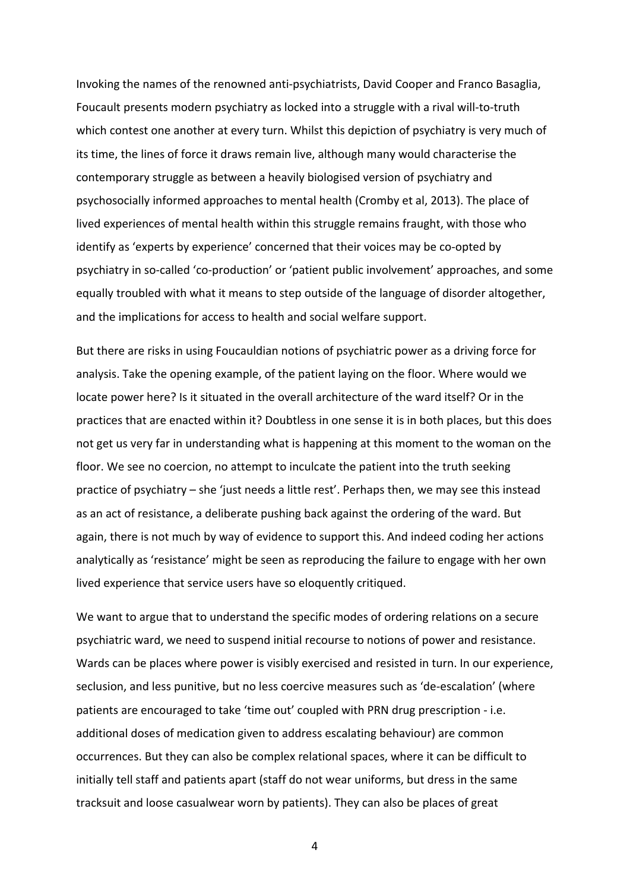Invoking the names of the renowned anti-psychiatrists, David Cooper and Franco Basaglia, Foucault presents modern psychiatry as locked into a struggle with a rival will-to-truth which contest one another at every turn. Whilst this depiction of psychiatry is very much of its time, the lines of force it draws remain live, although many would characterise the contemporary struggle as between a heavily biologised version of psychiatry and psychosocially informed approaches to mental health (Cromby et al, 2013). The place of lived experiences of mental health within this struggle remains fraught, with those who identify as 'experts by experience' concerned that their voices may be co-opted by psychiatry in so-called 'co-production' or 'patient public involvement' approaches, and some equally troubled with what it means to step outside of the language of disorder altogether, and the implications for access to health and social welfare support.

But there are risks in using Foucauldian notions of psychiatric power as a driving force for analysis. Take the opening example, of the patient laying on the floor. Where would we locate power here? Is it situated in the overall architecture of the ward itself? Or in the practices that are enacted within it? Doubtless in one sense it is in both places, but this does not get us very far in understanding what is happening at this moment to the woman on the floor. We see no coercion, no attempt to inculcate the patient into the truth seeking practice of psychiatry – she 'just needs a little rest'. Perhaps then, we may see this instead as an act of resistance, a deliberate pushing back against the ordering of the ward. But again, there is not much by way of evidence to support this. And indeed coding her actions analytically as 'resistance' might be seen as reproducing the failure to engage with her own lived experience that service users have so eloquently critiqued.

We want to argue that to understand the specific modes of ordering relations on a secure psychiatric ward, we need to suspend initial recourse to notions of power and resistance. Wards can be places where power is visibly exercised and resisted in turn. In our experience, seclusion, and less punitive, but no less coercive measures such as 'de-escalation' (where patients are encouraged to take 'time out' coupled with PRN drug prescription - i.e. additional doses of medication given to address escalating behaviour) are common occurrences. But they can also be complex relational spaces, where it can be difficult to initially tell staff and patients apart (staff do not wear uniforms, but dress in the same tracksuit and loose casualwear worn by patients). They can also be places of great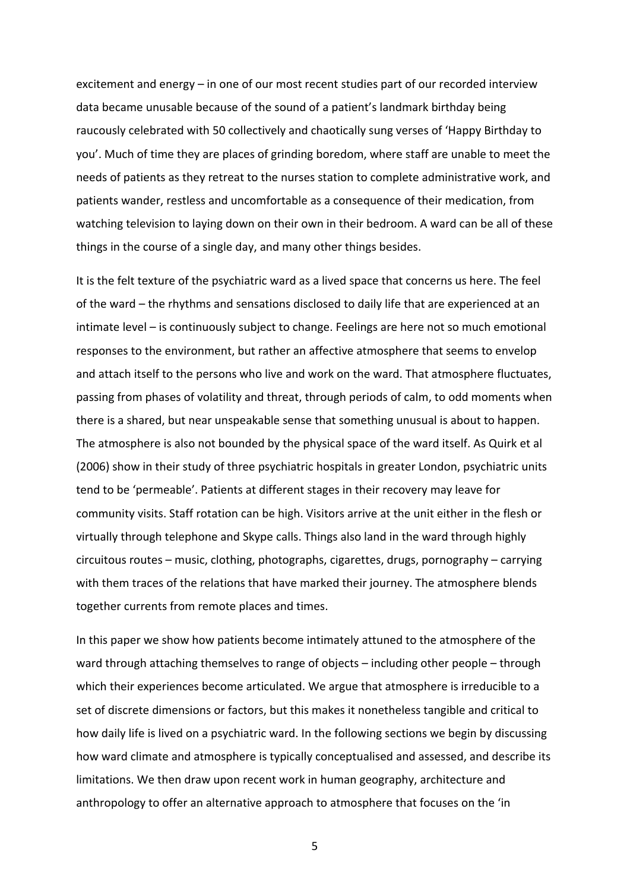excitement and energy – in one of our most recent studies part of our recorded interview data became unusable because of the sound of a patient's landmark birthday being raucously celebrated with 50 collectively and chaotically sung verses of 'Happy Birthday to you'. Much of time they are places of grinding boredom, where staff are unable to meet the needs of patients as they retreat to the nurses station to complete administrative work, and patients wander, restless and uncomfortable as a consequence of their medication, from watching television to laying down on their own in their bedroom. A ward can be all of these things in the course of a single day, and many other things besides.

It is the felt texture of the psychiatric ward as a lived space that concerns us here. The feel of the ward – the rhythms and sensations disclosed to daily life that are experienced at an intimate level – is continuously subject to change. Feelings are here not so much emotional responses to the environment, but rather an affective atmosphere that seems to envelop and attach itself to the persons who live and work on the ward. That atmosphere fluctuates, passing from phases of volatility and threat, through periods of calm, to odd moments when there is a shared, but near unspeakable sense that something unusual is about to happen. The atmosphere is also not bounded by the physical space of the ward itself. As Quirk et al (2006) show in their study of three psychiatric hospitals in greater London, psychiatric units tend to be 'permeable'. Patients at different stages in their recovery may leave for community visits. Staff rotation can be high. Visitors arrive at the unit either in the flesh or virtually through telephone and Skype calls. Things also land in the ward through highly circuitous routes – music, clothing, photographs, cigarettes, drugs, pornography – carrying with them traces of the relations that have marked their journey. The atmosphere blends together currents from remote places and times.

In this paper we show how patients become intimately attuned to the atmosphere of the ward through attaching themselves to range of objects – including other people – through which their experiences become articulated. We argue that atmosphere is irreducible to a set of discrete dimensions or factors, but this makes it nonetheless tangible and critical to how daily life is lived on a psychiatric ward. In the following sections we begin by discussing how ward climate and atmosphere is typically conceptualised and assessed, and describe its limitations. We then draw upon recent work in human geography, architecture and anthropology to offer an alternative approach to atmosphere that focuses on the 'in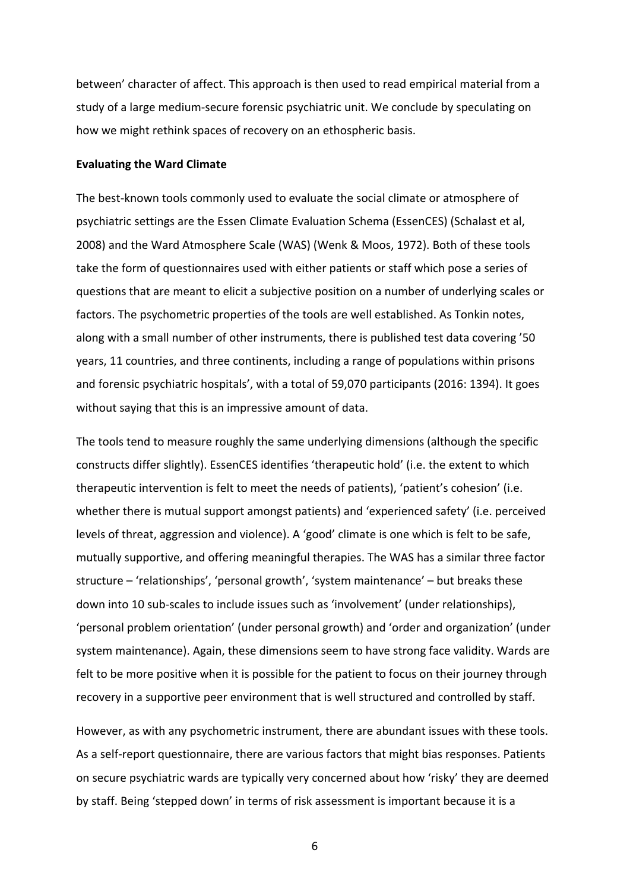between' character of affect. This approach is then used to read empirical material from a study of a large medium-secure forensic psychiatric unit. We conclude by speculating on how we might rethink spaces of recovery on an ethospheric basis.

#### **Evaluating the Ward Climate**

The best-known tools commonly used to evaluate the social climate or atmosphere of psychiatric settings are the Essen Climate Evaluation Schema (EssenCES) (Schalast et al, 2008) and the Ward Atmosphere Scale (WAS) (Wenk & Moos, 1972). Both of these tools take the form of questionnaires used with either patients or staff which pose a series of questions that are meant to elicit a subjective position on a number of underlying scales or factors. The psychometric properties of the tools are well established. As Tonkin notes, along with a small number of other instruments, there is published test data covering '50 years, 11 countries, and three continents, including a range of populations within prisons and forensic psychiatric hospitals', with a total of 59,070 participants (2016: 1394). It goes without saying that this is an impressive amount of data.

The tools tend to measure roughly the same underlying dimensions (although the specific constructs differ slightly). EssenCES identifies 'therapeutic hold' (i.e. the extent to which therapeutic intervention is felt to meet the needs of patients), 'patient's cohesion' (i.e. whether there is mutual support amongst patients) and 'experienced safety' (i.e. perceived levels of threat, aggression and violence). A 'good' climate is one which is felt to be safe, mutually supportive, and offering meaningful therapies. The WAS has a similar three factor structure – 'relationships', 'personal growth', 'system maintenance' – but breaks these down into 10 sub-scales to include issues such as 'involvement' (under relationships), 'personal problem orientation' (under personal growth) and 'order and organization' (under system maintenance). Again, these dimensions seem to have strong face validity. Wards are felt to be more positive when it is possible for the patient to focus on their journey through recovery in a supportive peer environment that is well structured and controlled by staff.

However, as with any psychometric instrument, there are abundant issues with these tools. As a self-report questionnaire, there are various factors that might bias responses. Patients on secure psychiatric wards are typically very concerned about how 'risky' they are deemed by staff. Being 'stepped down' in terms of risk assessment is important because it is a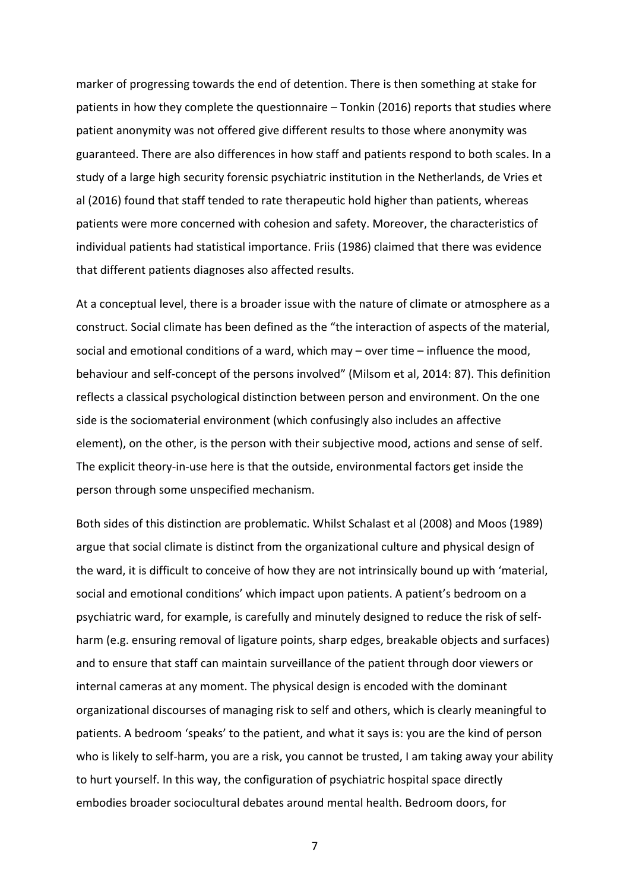marker of progressing towards the end of detention. There is then something at stake for patients in how they complete the questionnaire – Tonkin (2016) reports that studies where patient anonymity was not offered give different results to those where anonymity was guaranteed. There are also differences in how staff and patients respond to both scales. In a study of a large high security forensic psychiatric institution in the Netherlands, de Vries et al (2016) found that staff tended to rate therapeutic hold higher than patients, whereas patients were more concerned with cohesion and safety. Moreover, the characteristics of individual patients had statistical importance. Friis (1986) claimed that there was evidence that different patients diagnoses also affected results.

At a conceptual level, there is a broader issue with the nature of climate or atmosphere as a construct. Social climate has been defined as the "the interaction of aspects of the material, social and emotional conditions of a ward, which may – over time – influence the mood, behaviour and self-concept of the persons involved" (Milsom et al, 2014: 87). This definition reflects a classical psychological distinction between person and environment. On the one side is the sociomaterial environment (which confusingly also includes an affective element), on the other, is the person with their subjective mood, actions and sense of self. The explicit theory-in-use here is that the outside, environmental factors get inside the person through some unspecified mechanism.

Both sides of this distinction are problematic. Whilst Schalast et al (2008) and Moos (1989) argue that social climate is distinct from the organizational culture and physical design of the ward, it is difficult to conceive of how they are not intrinsically bound up with 'material, social and emotional conditions' which impact upon patients. A patient's bedroom on a psychiatric ward, for example, is carefully and minutely designed to reduce the risk of selfharm (e.g. ensuring removal of ligature points, sharp edges, breakable objects and surfaces) and to ensure that staff can maintain surveillance of the patient through door viewers or internal cameras at any moment. The physical design is encoded with the dominant organizational discourses of managing risk to self and others, which is clearly meaningful to patients. A bedroom 'speaks' to the patient, and what it says is: you are the kind of person who is likely to self-harm, you are a risk, you cannot be trusted, I am taking away your ability to hurt yourself. In this way, the configuration of psychiatric hospital space directly embodies broader sociocultural debates around mental health. Bedroom doors, for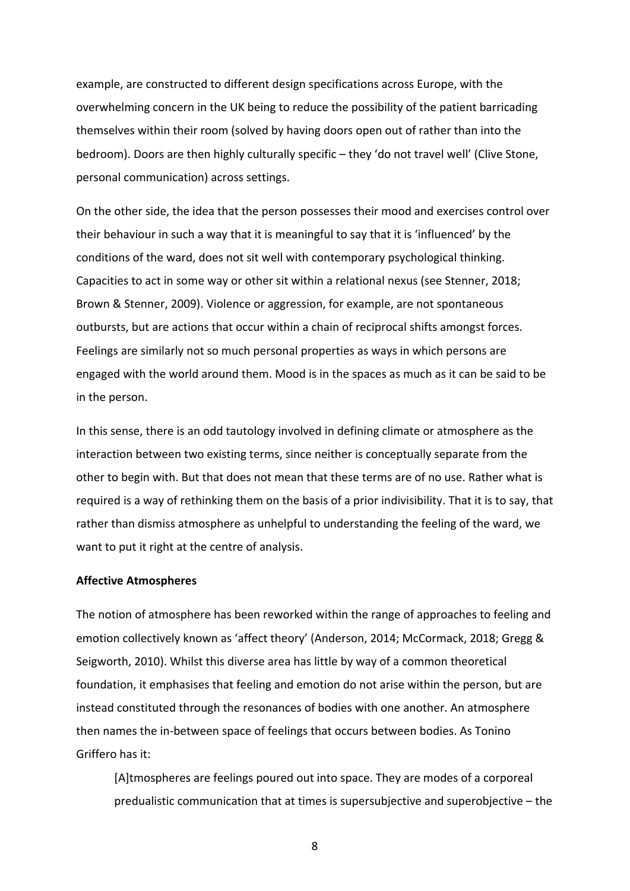example, are constructed to different design specifications across Europe, with the overwhelming concern in the UK being to reduce the possibility of the patient barricading themselves within their room (solved by having doors open out of rather than into the bedroom). Doors are then highly culturally specific – they 'do not travel well' (Clive Stone, personal communication) across settings.

On the other side, the idea that the person possesses their mood and exercises control over their behaviour in such a way that it is meaningful to say that it is 'influenced' by the conditions of the ward, does not sit well with contemporary psychological thinking. Capacities to act in some way or other sit within a relational nexus (see Stenner, 2018; Brown & Stenner, 2009). Violence or aggression, for example, are not spontaneous outbursts, but are actions that occur within a chain of reciprocal shifts amongst forces. Feelings are similarly not so much personal properties as ways in which persons are engaged with the world around them. Mood is in the spaces as much as it can be said to be in the person.

In this sense, there is an odd tautology involved in defining climate or atmosphere as the interaction between two existing terms, since neither is conceptually separate from the other to begin with. But that does not mean that these terms are of no use. Rather what is required is a way of rethinking them on the basis of a prior indivisibility. That it is to say, that rather than dismiss atmosphere as unhelpful to understanding the feeling of the ward, we want to put it right at the centre of analysis.

#### **Affective Atmospheres**

The notion of atmosphere has been reworked within the range of approaches to feeling and emotion collectively known as 'affect theory' (Anderson, 2014; McCormack, 2018; Gregg & Seigworth, 2010). Whilst this diverse area has little by way of a common theoretical foundation, it emphasises that feeling and emotion do not arise within the person, but are instead constituted through the resonances of bodies with one another. An atmosphere then names the in-between space of feelings that occurs between bodies. As Tonino Griffero has it:

[A]tmospheres are feelings poured out into space. They are modes of a corporeal predualistic communication that at times is supersubjective and superobjective – the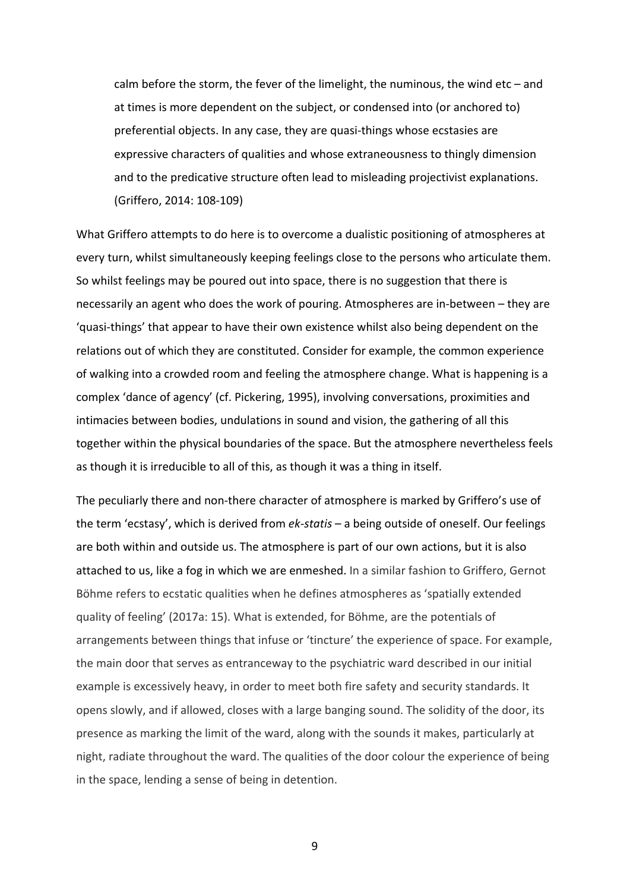calm before the storm, the fever of the limelight, the numinous, the wind etc – and at times is more dependent on the subject, or condensed into (or anchored to) preferential objects. In any case, they are quasi-things whose ecstasies are expressive characters of qualities and whose extraneousness to thingly dimension and to the predicative structure often lead to misleading projectivist explanations. (Griffero, 2014: 108-109)

What Griffero attempts to do here is to overcome a dualistic positioning of atmospheres at every turn, whilst simultaneously keeping feelings close to the persons who articulate them. So whilst feelings may be poured out into space, there is no suggestion that there is necessarily an agent who does the work of pouring. Atmospheres are in-between – they are 'quasi-things' that appear to have their own existence whilst also being dependent on the relations out of which they are constituted. Consider for example, the common experience of walking into a crowded room and feeling the atmosphere change. What is happening is a complex 'dance of agency' (cf. Pickering, 1995), involving conversations, proximities and intimacies between bodies, undulations in sound and vision, the gathering of all this together within the physical boundaries of the space. But the atmosphere nevertheless feels as though it is irreducible to all of this, as though it was a thing in itself.

The peculiarly there and non-there character of atmosphere is marked by Griffero's use of the term 'ecstasy', which is derived from *ek-statis* – a being outside of oneself. Our feelings are both within and outside us. The atmosphere is part of our own actions, but it is also attached to us, like a fog in which we are enmeshed. In a similar fashion to Griffero, Gernot Böhme refers to ecstatic qualities when he defines atmospheres as 'spatially extended quality of feeling' (2017a: 15). What is extended, for Böhme, are the potentials of arrangements between things that infuse or 'tincture' the experience of space. For example, the main door that serves as entranceway to the psychiatric ward described in our initial example is excessively heavy, in order to meet both fire safety and security standards. It opens slowly, and if allowed, closes with a large banging sound. The solidity of the door, its presence as marking the limit of the ward, along with the sounds it makes, particularly at night, radiate throughout the ward. The qualities of the door colour the experience of being in the space, lending a sense of being in detention.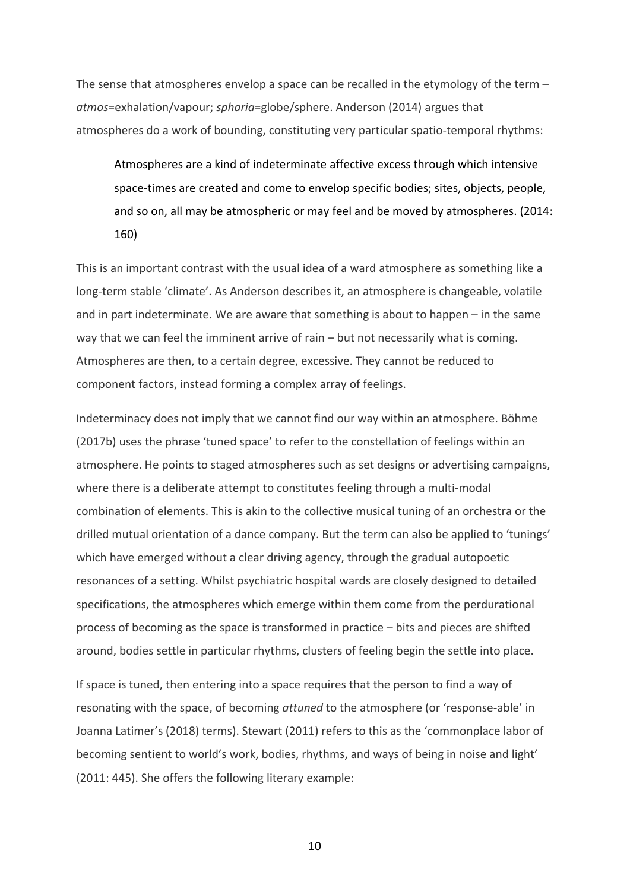The sense that atmospheres envelop a space can be recalled in the etymology of the term  $$ *atmos*=exhalation/vapour; *spharia*=globe/sphere. Anderson (2014) argues that atmospheres do a work of bounding, constituting very particular spatio-temporal rhythms:

Atmospheres are a kind of indeterminate affective excess through which intensive space-times are created and come to envelop specific bodies; sites, objects, people, and so on, all may be atmospheric or may feel and be moved by atmospheres. (2014: 160)

This is an important contrast with the usual idea of a ward atmosphere as something like a long-term stable 'climate'. As Anderson describes it, an atmosphere is changeable, volatile and in part indeterminate. We are aware that something is about to happen – in the same way that we can feel the imminent arrive of rain – but not necessarily what is coming. Atmospheres are then, to a certain degree, excessive. They cannot be reduced to component factors, instead forming a complex array of feelings.

Indeterminacy does not imply that we cannot find our way within an atmosphere. Böhme (2017b) uses the phrase 'tuned space' to refer to the constellation of feelings within an atmosphere. He points to staged atmospheres such as set designs or advertising campaigns, where there is a deliberate attempt to constitutes feeling through a multi-modal combination of elements. This is akin to the collective musical tuning of an orchestra or the drilled mutual orientation of a dance company. But the term can also be applied to 'tunings' which have emerged without a clear driving agency, through the gradual autopoetic resonances of a setting. Whilst psychiatric hospital wards are closely designed to detailed specifications, the atmospheres which emerge within them come from the perdurational process of becoming as the space is transformed in practice – bits and pieces are shifted around, bodies settle in particular rhythms, clusters of feeling begin the settle into place.

If space is tuned, then entering into a space requires that the person to find a way of resonating with the space, of becoming *attuned* to the atmosphere (or 'response-able' in Joanna Latimer's (2018) terms). Stewart (2011) refers to this as the 'commonplace labor of becoming sentient to world's work, bodies, rhythms, and ways of being in noise and light' (2011: 445). She offers the following literary example: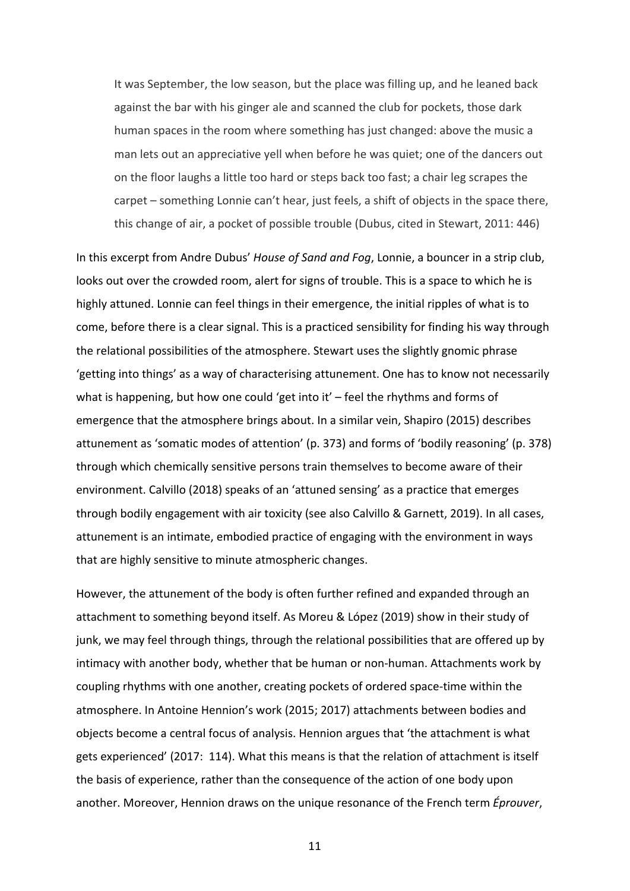It was September, the low season, but the place was filling up, and he leaned back against the bar with his ginger ale and scanned the club for pockets, those dark human spaces in the room where something has just changed: above the music a man lets out an appreciative yell when before he was quiet; one of the dancers out on the floor laughs a little too hard or steps back too fast; a chair leg scrapes the carpet – something Lonnie can't hear, just feels, a shift of objects in the space there, this change of air, a pocket of possible trouble (Dubus, cited in Stewart, 2011: 446)

In this excerpt from Andre Dubus' *House of Sand and Fog*, Lonnie, a bouncer in a strip club, looks out over the crowded room, alert for signs of trouble. This is a space to which he is highly attuned. Lonnie can feel things in their emergence, the initial ripples of what is to come, before there is a clear signal. This is a practiced sensibility for finding his way through the relational possibilities of the atmosphere. Stewart uses the slightly gnomic phrase 'getting into things' as a way of characterising attunement. One has to know not necessarily what is happening, but how one could 'get into it' – feel the rhythms and forms of emergence that the atmosphere brings about. In a similar vein, Shapiro (2015) describes attunement as 'somatic modes of attention' (p. 373) and forms of 'bodily reasoning' (p. 378) through which chemically sensitive persons train themselves to become aware of their environment. Calvillo (2018) speaks of an 'attuned sensing' as a practice that emerges through bodily engagement with air toxicity (see also Calvillo & Garnett, 2019). In all cases, attunement is an intimate, embodied practice of engaging with the environment in ways that are highly sensitive to minute atmospheric changes.

However, the attunement of the body is often further refined and expanded through an attachment to something beyond itself. As Moreu & López (2019) show in their study of junk, we may feel through things, through the relational possibilities that are offered up by intimacy with another body, whether that be human or non-human. Attachments work by coupling rhythms with one another, creating pockets of ordered space-time within the atmosphere. In Antoine Hennion's work (2015; 2017) attachments between bodies and objects become a central focus of analysis. Hennion argues that 'the attachment is what gets experienced' (2017: 114). What this means is that the relation of attachment is itself the basis of experience, rather than the consequence of the action of one body upon another. Moreover, Hennion draws on the unique resonance of the French term *Éprouver*,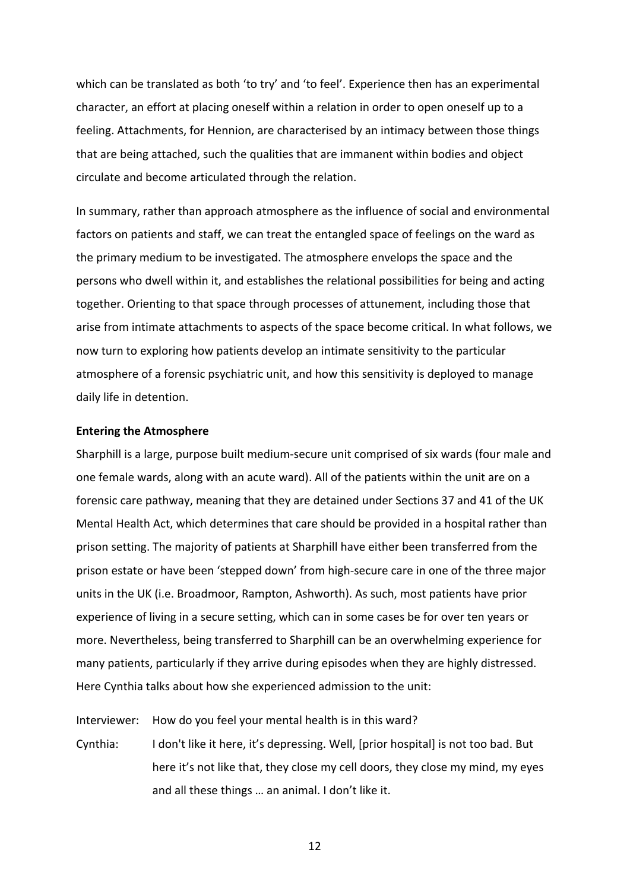which can be translated as both 'to try' and 'to feel'. Experience then has an experimental character, an effort at placing oneself within a relation in order to open oneself up to a feeling. Attachments, for Hennion, are characterised by an intimacy between those things that are being attached, such the qualities that are immanent within bodies and object circulate and become articulated through the relation.

In summary, rather than approach atmosphere as the influence of social and environmental factors on patients and staff, we can treat the entangled space of feelings on the ward as the primary medium to be investigated. The atmosphere envelops the space and the persons who dwell within it, and establishes the relational possibilities for being and acting together. Orienting to that space through processes of attunement, including those that arise from intimate attachments to aspects of the space become critical. In what follows, we now turn to exploring how patients develop an intimate sensitivity to the particular atmosphere of a forensic psychiatric unit, and how this sensitivity is deployed to manage daily life in detention.

# **Entering the Atmosphere**

Sharphill is a large, purpose built medium-secure unit comprised of six wards (four male and one female wards, along with an acute ward). All of the patients within the unit are on a forensic care pathway, meaning that they are detained under Sections 37 and 41 of the UK Mental Health Act, which determines that care should be provided in a hospital rather than prison setting. The majority of patients at Sharphill have either been transferred from the prison estate or have been 'stepped down' from high-secure care in one of the three major units in the UK (i.e. Broadmoor, Rampton, Ashworth). As such, most patients have prior experience of living in a secure setting, which can in some cases be for over ten years or more. Nevertheless, being transferred to Sharphill can be an overwhelming experience for many patients, particularly if they arrive during episodes when they are highly distressed. Here Cynthia talks about how she experienced admission to the unit:

Interviewer: How do you feel your mental health is in this ward?

Cynthia: I don't like it here, it's depressing. Well, [prior hospital] is not too bad. But here it's not like that, they close my cell doors, they close my mind, my eyes and all these things … an animal. I don't like it.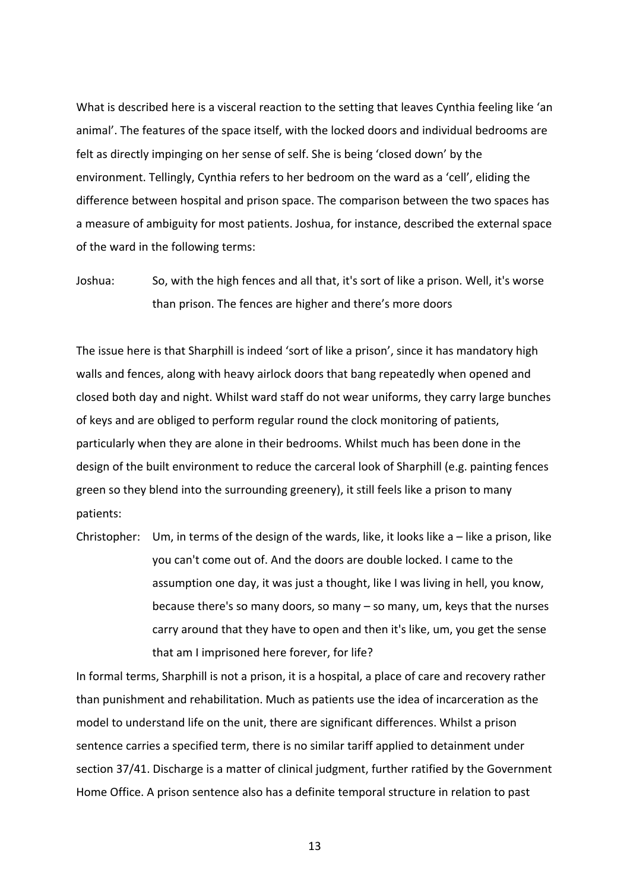What is described here is a visceral reaction to the setting that leaves Cynthia feeling like 'an animal'. The features of the space itself, with the locked doors and individual bedrooms are felt as directly impinging on her sense of self. She is being 'closed down' by the environment. Tellingly, Cynthia refers to her bedroom on the ward as a 'cell', eliding the difference between hospital and prison space. The comparison between the two spaces has a measure of ambiguity for most patients. Joshua, for instance, described the external space of the ward in the following terms:

Joshua: So, with the high fences and all that, it's sort of like a prison. Well, it's worse than prison. The fences are higher and there's more doors

The issue here is that Sharphill is indeed 'sort of like a prison', since it has mandatory high walls and fences, along with heavy airlock doors that bang repeatedly when opened and closed both day and night. Whilst ward staff do not wear uniforms, they carry large bunches of keys and are obliged to perform regular round the clock monitoring of patients, particularly when they are alone in their bedrooms. Whilst much has been done in the design of the built environment to reduce the carceral look of Sharphill (e.g. painting fences green so they blend into the surrounding greenery), it still feels like a prison to many patients:

Christopher: Um, in terms of the design of the wards, like, it looks like a – like a prison, like you can't come out of. And the doors are double locked. I came to the assumption one day, it was just a thought, like I was living in hell, you know, because there's so many doors, so many – so many, um, keys that the nurses carry around that they have to open and then it's like, um, you get the sense that am I imprisoned here forever, for life?

In formal terms, Sharphill is not a prison, it is a hospital, a place of care and recovery rather than punishment and rehabilitation. Much as patients use the idea of incarceration as the model to understand life on the unit, there are significant differences. Whilst a prison sentence carries a specified term, there is no similar tariff applied to detainment under section 37/41. Discharge is a matter of clinical judgment, further ratified by the Government Home Office. A prison sentence also has a definite temporal structure in relation to past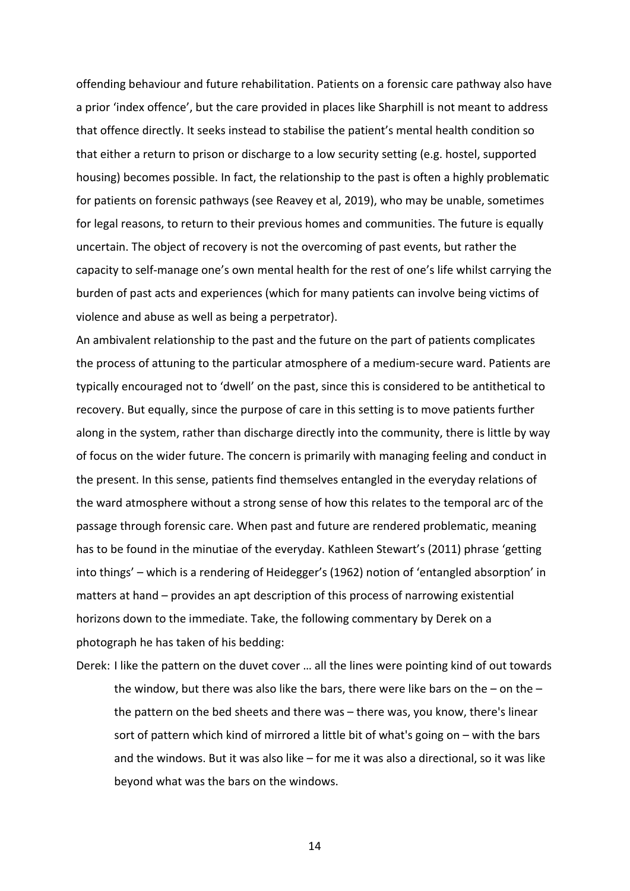offending behaviour and future rehabilitation. Patients on a forensic care pathway also have a prior 'index offence', but the care provided in places like Sharphill is not meant to address that offence directly. It seeks instead to stabilise the patient's mental health condition so that either a return to prison or discharge to a low security setting (e.g. hostel, supported housing) becomes possible. In fact, the relationship to the past is often a highly problematic for patients on forensic pathways (see Reavey et al, 2019), who may be unable, sometimes for legal reasons, to return to their previous homes and communities. The future is equally uncertain. The object of recovery is not the overcoming of past events, but rather the capacity to self-manage one's own mental health for the rest of one's life whilst carrying the burden of past acts and experiences (which for many patients can involve being victims of violence and abuse as well as being a perpetrator).

An ambivalent relationship to the past and the future on the part of patients complicates the process of attuning to the particular atmosphere of a medium-secure ward. Patients are typically encouraged not to 'dwell' on the past, since this is considered to be antithetical to recovery. But equally, since the purpose of care in this setting is to move patients further along in the system, rather than discharge directly into the community, there is little by way of focus on the wider future. The concern is primarily with managing feeling and conduct in the present. In this sense, patients find themselves entangled in the everyday relations of the ward atmosphere without a strong sense of how this relates to the temporal arc of the passage through forensic care. When past and future are rendered problematic, meaning has to be found in the minutiae of the everyday. Kathleen Stewart's (2011) phrase 'getting into things' – which is a rendering of Heidegger's (1962) notion of 'entangled absorption' in matters at hand – provides an apt description of this process of narrowing existential horizons down to the immediate. Take, the following commentary by Derek on a photograph he has taken of his bedding:

Derek: I like the pattern on the duvet cover … all the lines were pointing kind of out towards the window, but there was also like the bars, there were like bars on the  $-$  on the  $$ the pattern on the bed sheets and there was – there was, you know, there's linear sort of pattern which kind of mirrored a little bit of what's going on – with the bars and the windows. But it was also like – for me it was also a directional, so it was like beyond what was the bars on the windows.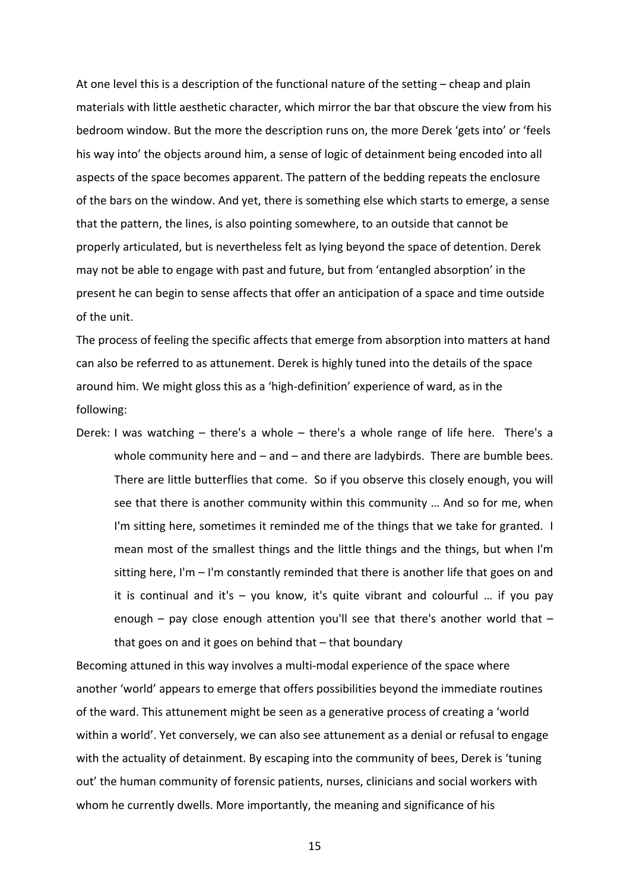At one level this is a description of the functional nature of the setting – cheap and plain materials with little aesthetic character, which mirror the bar that obscure the view from his bedroom window. But the more the description runs on, the more Derek 'gets into' or 'feels his way into' the objects around him, a sense of logic of detainment being encoded into all aspects of the space becomes apparent. The pattern of the bedding repeats the enclosure of the bars on the window. And yet, there is something else which starts to emerge, a sense that the pattern, the lines, is also pointing somewhere, to an outside that cannot be properly articulated, but is nevertheless felt as lying beyond the space of detention. Derek may not be able to engage with past and future, but from 'entangled absorption' in the present he can begin to sense affects that offer an anticipation of a space and time outside of the unit.

The process of feeling the specific affects that emerge from absorption into matters at hand can also be referred to as attunement. Derek is highly tuned into the details of the space around him. We might gloss this as a 'high-definition' experience of ward, as in the following:

Derek: I was watching – there's a whole – there's a whole range of life here. There's a whole community here and  $-$  and  $-$  and there are ladybirds. There are bumble bees. There are little butterflies that come. So if you observe this closely enough, you will see that there is another community within this community … And so for me, when I'm sitting here, sometimes it reminded me of the things that we take for granted. I mean most of the smallest things and the little things and the things, but when I'm sitting here, I'm – I'm constantly reminded that there is another life that goes on and it is continual and it's – you know, it's quite vibrant and colourful … if you pay enough – pay close enough attention you'll see that there's another world that – that goes on and it goes on behind that  $-$  that boundary

Becoming attuned in this way involves a multi-modal experience of the space where another 'world' appears to emerge that offers possibilities beyond the immediate routines of the ward. This attunement might be seen as a generative process of creating a 'world within a world'. Yet conversely, we can also see attunement as a denial or refusal to engage with the actuality of detainment. By escaping into the community of bees, Derek is 'tuning out' the human community of forensic patients, nurses, clinicians and social workers with whom he currently dwells. More importantly, the meaning and significance of his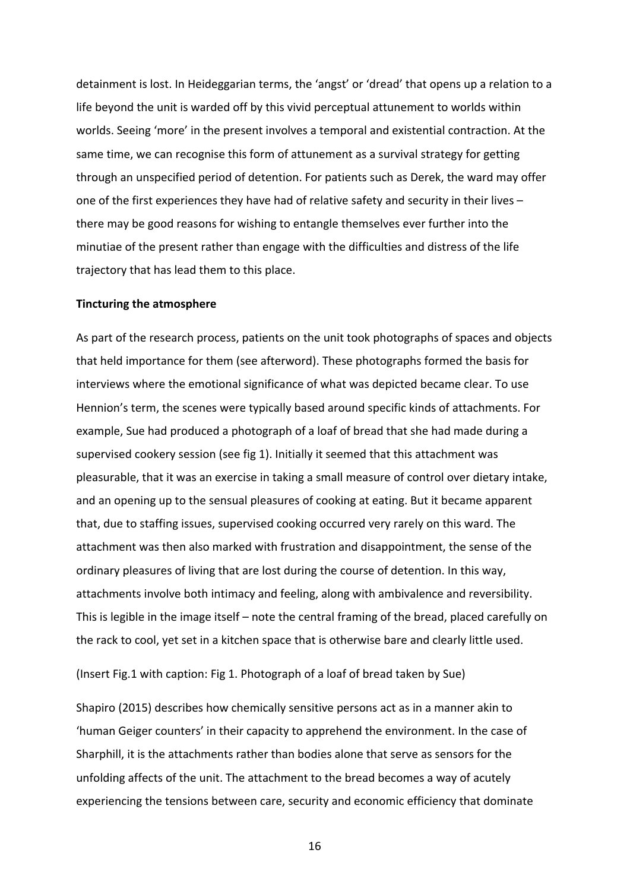detainment is lost. In Heideggarian terms, the 'angst' or 'dread' that opens up a relation to a life beyond the unit is warded off by this vivid perceptual attunement to worlds within worlds. Seeing 'more' in the present involves a temporal and existential contraction. At the same time, we can recognise this form of attunement as a survival strategy for getting through an unspecified period of detention. For patients such as Derek, the ward may offer one of the first experiences they have had of relative safety and security in their lives – there may be good reasons for wishing to entangle themselves ever further into the minutiae of the present rather than engage with the difficulties and distress of the life trajectory that has lead them to this place.

#### **Tincturing the atmosphere**

As part of the research process, patients on the unit took photographs of spaces and objects that held importance for them (see afterword). These photographs formed the basis for interviews where the emotional significance of what was depicted became clear. To use Hennion's term, the scenes were typically based around specific kinds of attachments. For example, Sue had produced a photograph of a loaf of bread that she had made during a supervised cookery session (see fig 1). Initially it seemed that this attachment was pleasurable, that it was an exercise in taking a small measure of control over dietary intake, and an opening up to the sensual pleasures of cooking at eating. But it became apparent that, due to staffing issues, supervised cooking occurred very rarely on this ward. The attachment was then also marked with frustration and disappointment, the sense of the ordinary pleasures of living that are lost during the course of detention. In this way, attachments involve both intimacy and feeling, along with ambivalence and reversibility. This is legible in the image itself – note the central framing of the bread, placed carefully on the rack to cool, yet set in a kitchen space that is otherwise bare and clearly little used.

(Insert Fig.1 with caption: Fig 1. Photograph of a loaf of bread taken by Sue)

Shapiro (2015) describes how chemically sensitive persons act as in a manner akin to 'human Geiger counters' in their capacity to apprehend the environment. In the case of Sharphill, it is the attachments rather than bodies alone that serve as sensors for the unfolding affects of the unit. The attachment to the bread becomes a way of acutely experiencing the tensions between care, security and economic efficiency that dominate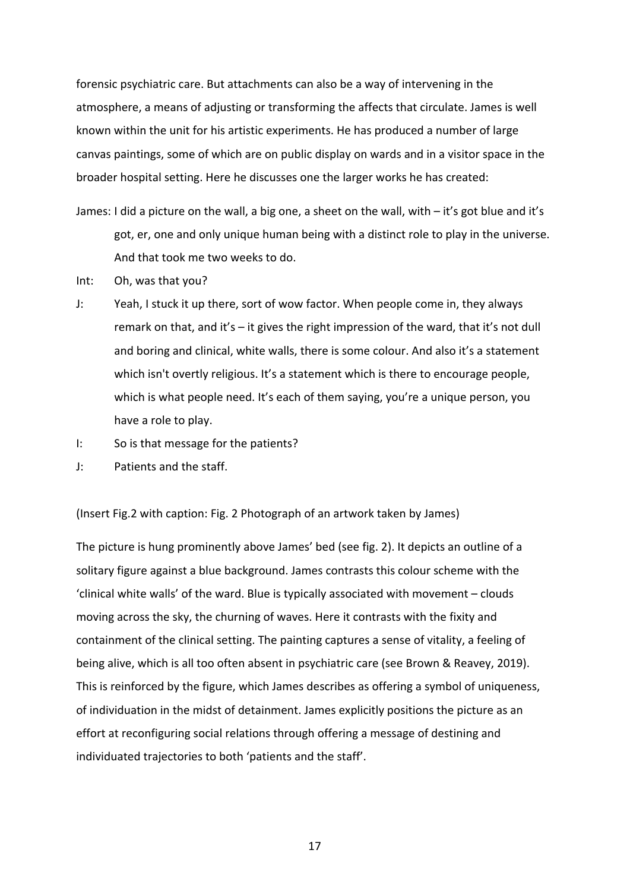forensic psychiatric care. But attachments can also be a way of intervening in the atmosphere, a means of adjusting or transforming the affects that circulate. James is well known within the unit for his artistic experiments. He has produced a number of large canvas paintings, some of which are on public display on wards and in a visitor space in the broader hospital setting. Here he discusses one the larger works he has created:

- James: I did a picture on the wall, a big one, a sheet on the wall, with it's got blue and it's got, er, one and only unique human being with a distinct role to play in the universe. And that took me two weeks to do.
- Int: Oh, was that you?
- J: Yeah, I stuck it up there, sort of wow factor. When people come in, they always remark on that, and it's – it gives the right impression of the ward, that it's not dull and boring and clinical, white walls, there is some colour. And also it's a statement which isn't overtly religious. It's a statement which is there to encourage people, which is what people need. It's each of them saying, you're a unique person, you have a role to play.
- I: So is that message for the patients?
- J: Patients and the staff.

(Insert Fig.2 with caption: Fig. 2 Photograph of an artwork taken by James)

The picture is hung prominently above James' bed (see fig. 2). It depicts an outline of a solitary figure against a blue background. James contrasts this colour scheme with the 'clinical white walls' of the ward. Blue is typically associated with movement – clouds moving across the sky, the churning of waves. Here it contrasts with the fixity and containment of the clinical setting. The painting captures a sense of vitality, a feeling of being alive, which is all too often absent in psychiatric care (see Brown & Reavey, 2019). This is reinforced by the figure, which James describes as offering a symbol of uniqueness, of individuation in the midst of detainment. James explicitly positions the picture as an effort at reconfiguring social relations through offering a message of destining and individuated trajectories to both 'patients and the staff'.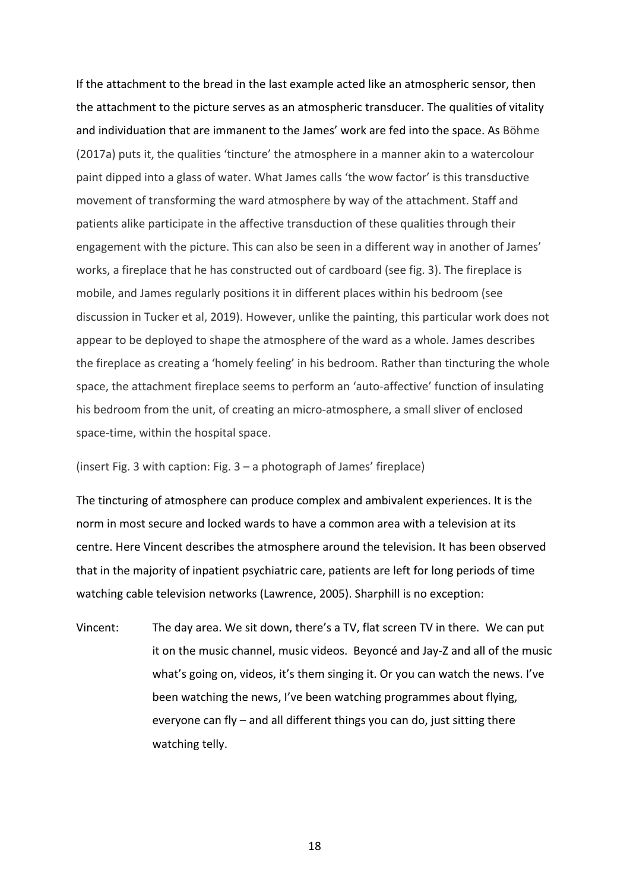If the attachment to the bread in the last example acted like an atmospheric sensor, then the attachment to the picture serves as an atmospheric transducer. The qualities of vitality and individuation that are immanent to the James' work are fed into the space. As Böhme (2017a) puts it, the qualities 'tincture' the atmosphere in a manner akin to a watercolour paint dipped into a glass of water. What James calls 'the wow factor' is this transductive movement of transforming the ward atmosphere by way of the attachment. Staff and patients alike participate in the affective transduction of these qualities through their engagement with the picture. This can also be seen in a different way in another of James' works, a fireplace that he has constructed out of cardboard (see fig. 3). The fireplace is mobile, and James regularly positions it in different places within his bedroom (see discussion in Tucker et al, 2019). However, unlike the painting, this particular work does not appear to be deployed to shape the atmosphere of the ward as a whole. James describes the fireplace as creating a 'homely feeling' in his bedroom. Rather than tincturing the whole space, the attachment fireplace seems to perform an 'auto-affective' function of insulating his bedroom from the unit, of creating an micro-atmosphere, a small sliver of enclosed space-time, within the hospital space.

(insert Fig. 3 with caption: Fig. 3 – a photograph of James' fireplace)

The tincturing of atmosphere can produce complex and ambivalent experiences. It is the norm in most secure and locked wards to have a common area with a television at its centre. Here Vincent describes the atmosphere around the television. It has been observed that in the majority of inpatient psychiatric care, patients are left for long periods of time watching cable television networks (Lawrence, 2005). Sharphill is no exception:

Vincent: The day area. We sit down, there's a TV, flat screen TV in there. We can put it on the music channel, music videos. Beyoncé and Jay-Z and all of the music what's going on, videos, it's them singing it. Or you can watch the news. I've been watching the news, I've been watching programmes about flying, everyone can fly – and all different things you can do, just sitting there watching telly.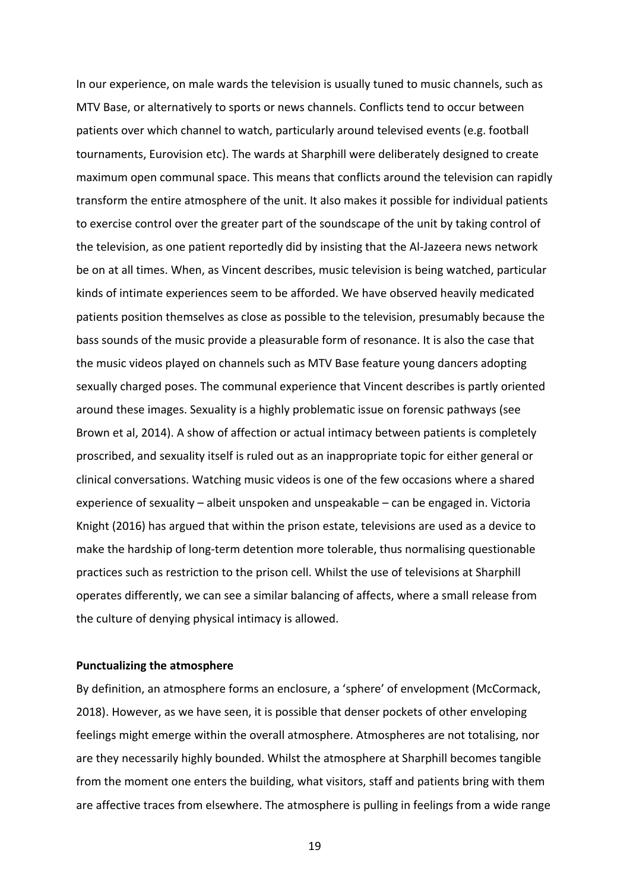In our experience, on male wards the television is usually tuned to music channels, such as MTV Base, or alternatively to sports or news channels. Conflicts tend to occur between patients over which channel to watch, particularly around televised events (e.g. football tournaments, Eurovision etc). The wards at Sharphill were deliberately designed to create maximum open communal space. This means that conflicts around the television can rapidly transform the entire atmosphere of the unit. It also makes it possible for individual patients to exercise control over the greater part of the soundscape of the unit by taking control of the television, as one patient reportedly did by insisting that the Al-Jazeera news network be on at all times. When, as Vincent describes, music television is being watched, particular kinds of intimate experiences seem to be afforded. We have observed heavily medicated patients position themselves as close as possible to the television, presumably because the bass sounds of the music provide a pleasurable form of resonance. It is also the case that the music videos played on channels such as MTV Base feature young dancers adopting sexually charged poses. The communal experience that Vincent describes is partly oriented around these images. Sexuality is a highly problematic issue on forensic pathways (see Brown et al, 2014). A show of affection or actual intimacy between patients is completely proscribed, and sexuality itself is ruled out as an inappropriate topic for either general or clinical conversations. Watching music videos is one of the few occasions where a shared experience of sexuality – albeit unspoken and unspeakable – can be engaged in. Victoria Knight (2016) has argued that within the prison estate, televisions are used as a device to make the hardship of long-term detention more tolerable, thus normalising questionable practices such as restriction to the prison cell. Whilst the use of televisions at Sharphill operates differently, we can see a similar balancing of affects, where a small release from the culture of denying physical intimacy is allowed.

### **Punctualizing the atmosphere**

By definition, an atmosphere forms an enclosure, a 'sphere' of envelopment (McCormack, 2018). However, as we have seen, it is possible that denser pockets of other enveloping feelings might emerge within the overall atmosphere. Atmospheres are not totalising, nor are they necessarily highly bounded. Whilst the atmosphere at Sharphill becomes tangible from the moment one enters the building, what visitors, staff and patients bring with them are affective traces from elsewhere. The atmosphere is pulling in feelings from a wide range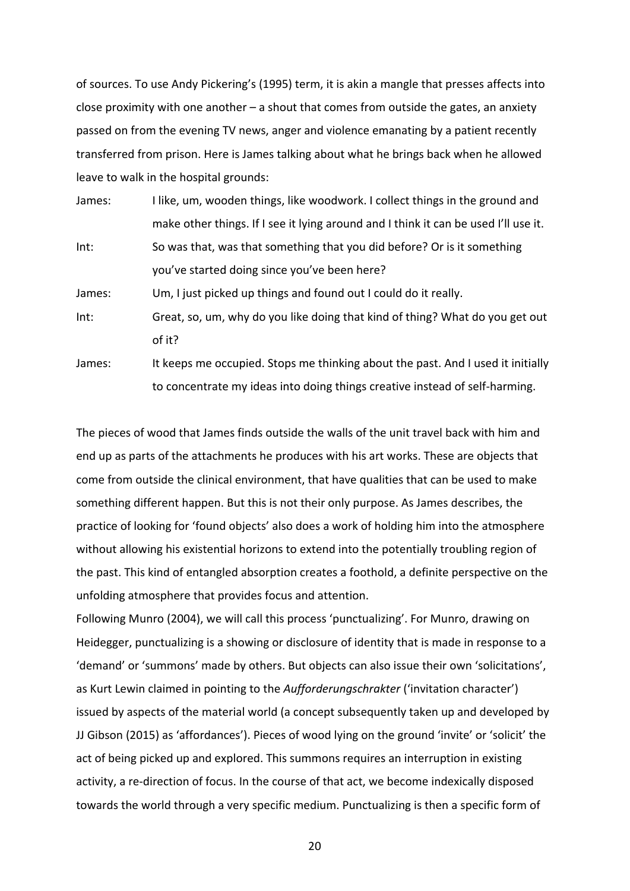of sources. To use Andy Pickering's (1995) term, it is akin a mangle that presses affects into close proximity with one another – a shout that comes from outside the gates, an anxiety passed on from the evening TV news, anger and violence emanating by a patient recently transferred from prison. Here is James talking about what he brings back when he allowed leave to walk in the hospital grounds:

James: I like, um, wooden things, like woodwork. I collect things in the ground and make other things. If I see it lying around and I think it can be used I'll use it. Int: So was that, was that something that you did before? Or is it something you've started doing since you've been here?

James: Um, I just picked up things and found out I could do it really.

Int: Great, so, um, why do you like doing that kind of thing? What do you get out of it?

James: It keeps me occupied. Stops me thinking about the past. And I used it initially to concentrate my ideas into doing things creative instead of self-harming.

The pieces of wood that James finds outside the walls of the unit travel back with him and end up as parts of the attachments he produces with his art works. These are objects that come from outside the clinical environment, that have qualities that can be used to make something different happen. But this is not their only purpose. As James describes, the practice of looking for 'found objects' also does a work of holding him into the atmosphere without allowing his existential horizons to extend into the potentially troubling region of the past. This kind of entangled absorption creates a foothold, a definite perspective on the unfolding atmosphere that provides focus and attention.

Following Munro (2004), we will call this process 'punctualizing'. For Munro, drawing on Heidegger, punctualizing is a showing or disclosure of identity that is made in response to a 'demand' or 'summons' made by others. But objects can also issue their own 'solicitations', as Kurt Lewin claimed in pointing to the *Aufforderungschrakter* ('invitation character') issued by aspects of the material world (a concept subsequently taken up and developed by JJ Gibson (2015) as 'affordances'). Pieces of wood lying on the ground 'invite' or 'solicit' the act of being picked up and explored. This summons requires an interruption in existing activity, a re-direction of focus. In the course of that act, we become indexically disposed towards the world through a very specific medium. Punctualizing is then a specific form of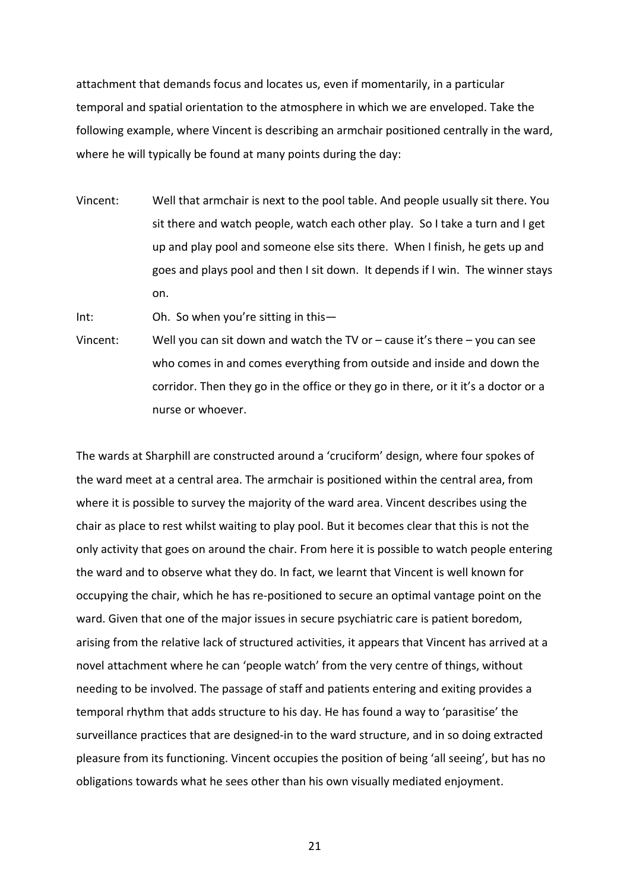attachment that demands focus and locates us, even if momentarily, in a particular temporal and spatial orientation to the atmosphere in which we are enveloped. Take the following example, where Vincent is describing an armchair positioned centrally in the ward, where he will typically be found at many points during the day:

Vincent: Well that armchair is next to the pool table. And people usually sit there. You sit there and watch people, watch each other play. So I take a turn and I get up and play pool and someone else sits there. When I finish, he gets up and goes and plays pool and then I sit down. It depends if I win. The winner stays on.

Int: Oh. So when you're sitting in this—

Vincent: Well you can sit down and watch the TV or – cause it's there – you can see who comes in and comes everything from outside and inside and down the corridor. Then they go in the office or they go in there, or it it's a doctor or a nurse or whoever.

The wards at Sharphill are constructed around a 'cruciform' design, where four spokes of the ward meet at a central area. The armchair is positioned within the central area, from where it is possible to survey the majority of the ward area. Vincent describes using the chair as place to rest whilst waiting to play pool. But it becomes clear that this is not the only activity that goes on around the chair. From here it is possible to watch people entering the ward and to observe what they do. In fact, we learnt that Vincent is well known for occupying the chair, which he has re-positioned to secure an optimal vantage point on the ward. Given that one of the major issues in secure psychiatric care is patient boredom, arising from the relative lack of structured activities, it appears that Vincent has arrived at a novel attachment where he can 'people watch' from the very centre of things, without needing to be involved. The passage of staff and patients entering and exiting provides a temporal rhythm that adds structure to his day. He has found a way to 'parasitise' the surveillance practices that are designed-in to the ward structure, and in so doing extracted pleasure from its functioning. Vincent occupies the position of being 'all seeing', but has no obligations towards what he sees other than his own visually mediated enjoyment.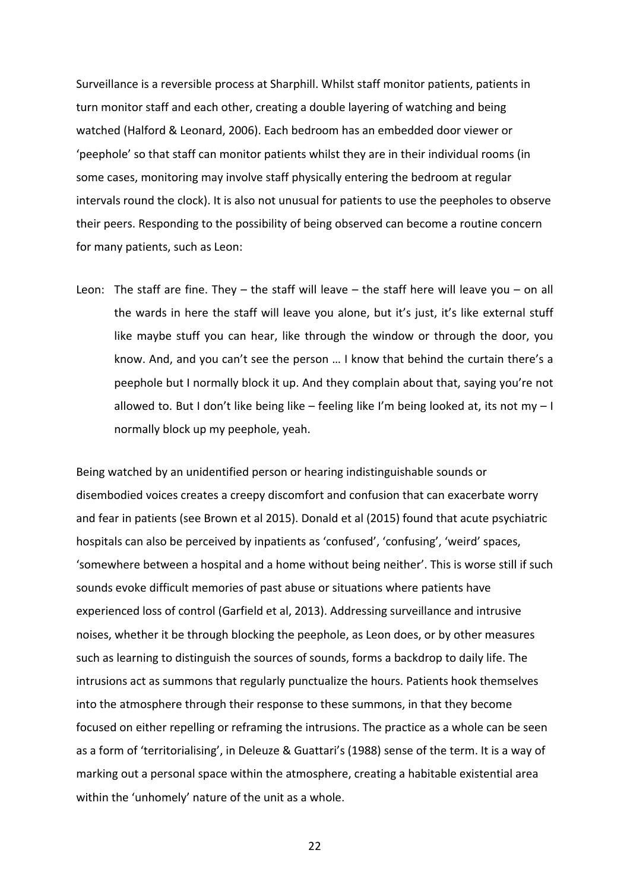Surveillance is a reversible process at Sharphill. Whilst staff monitor patients, patients in turn monitor staff and each other, creating a double layering of watching and being watched (Halford & Leonard, 2006). Each bedroom has an embedded door viewer or 'peephole' so that staff can monitor patients whilst they are in their individual rooms (in some cases, monitoring may involve staff physically entering the bedroom at regular intervals round the clock). It is also not unusual for patients to use the peepholes to observe their peers. Responding to the possibility of being observed can become a routine concern for many patients, such as Leon:

Leon: The staff are fine. They – the staff will leave – the staff here will leave you – on all the wards in here the staff will leave you alone, but it's just, it's like external stuff like maybe stuff you can hear, like through the window or through the door, you know. And, and you can't see the person … I know that behind the curtain there's a peephole but I normally block it up. And they complain about that, saying you're not allowed to. But I don't like being like – feeling like I'm being looked at, its not my – I normally block up my peephole, yeah.

Being watched by an unidentified person or hearing indistinguishable sounds or disembodied voices creates a creepy discomfort and confusion that can exacerbate worry and fear in patients (see Brown et al 2015). Donald et al (2015) found that acute psychiatric hospitals can also be perceived by inpatients as 'confused', 'confusing', 'weird' spaces, 'somewhere between a hospital and a home without being neither'. This is worse still if such sounds evoke difficult memories of past abuse or situations where patients have experienced loss of control (Garfield et al, 2013). Addressing surveillance and intrusive noises, whether it be through blocking the peephole, as Leon does, or by other measures such as learning to distinguish the sources of sounds, forms a backdrop to daily life. The intrusions act as summons that regularly punctualize the hours. Patients hook themselves into the atmosphere through their response to these summons, in that they become focused on either repelling or reframing the intrusions. The practice as a whole can be seen as a form of 'territorialising', in Deleuze & Guattari's (1988) sense of the term. It is a way of marking out a personal space within the atmosphere, creating a habitable existential area within the 'unhomely' nature of the unit as a whole.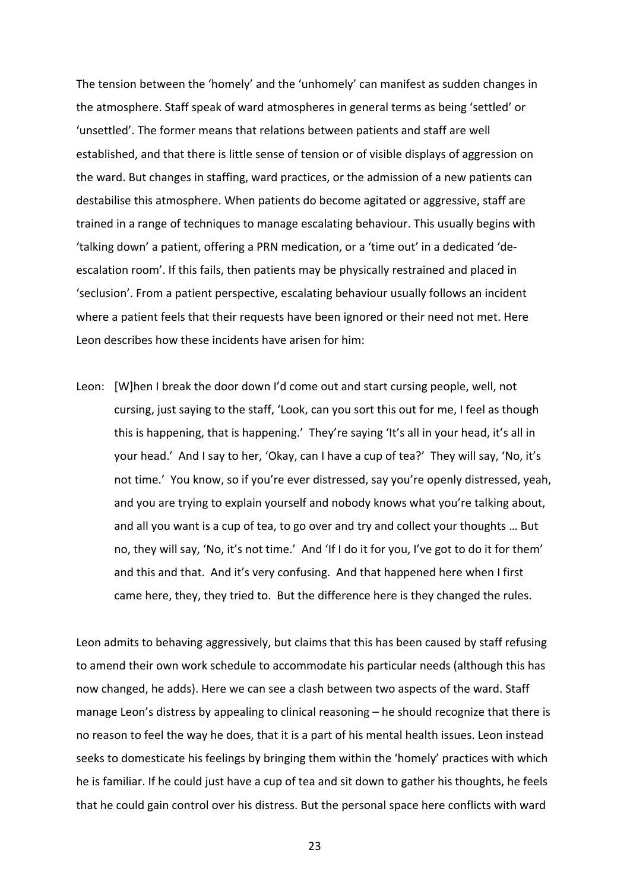The tension between the 'homely' and the 'unhomely' can manifest as sudden changes in the atmosphere. Staff speak of ward atmospheres in general terms as being 'settled' or 'unsettled'. The former means that relations between patients and staff are well established, and that there is little sense of tension or of visible displays of aggression on the ward. But changes in staffing, ward practices, or the admission of a new patients can destabilise this atmosphere. When patients do become agitated or aggressive, staff are trained in a range of techniques to manage escalating behaviour. This usually begins with 'talking down' a patient, offering a PRN medication, or a 'time out' in a dedicated 'deescalation room'. If this fails, then patients may be physically restrained and placed in 'seclusion'. From a patient perspective, escalating behaviour usually follows an incident where a patient feels that their requests have been ignored or their need not met. Here Leon describes how these incidents have arisen for him:

Leon: [W]hen I break the door down I'd come out and start cursing people, well, not cursing, just saying to the staff, 'Look, can you sort this out for me, I feel as though this is happening, that is happening.' They're saying 'It's all in your head, it's all in your head.' And I say to her, 'Okay, can I have a cup of tea?' They will say, 'No, it's not time.' You know, so if you're ever distressed, say you're openly distressed, yeah, and you are trying to explain yourself and nobody knows what you're talking about, and all you want is a cup of tea, to go over and try and collect your thoughts … But no, they will say, 'No, it's not time.' And 'If I do it for you, I've got to do it for them' and this and that. And it's very confusing. And that happened here when I first came here, they, they tried to. But the difference here is they changed the rules.

Leon admits to behaving aggressively, but claims that this has been caused by staff refusing to amend their own work schedule to accommodate his particular needs (although this has now changed, he adds). Here we can see a clash between two aspects of the ward. Staff manage Leon's distress by appealing to clinical reasoning – he should recognize that there is no reason to feel the way he does, that it is a part of his mental health issues. Leon instead seeks to domesticate his feelings by bringing them within the 'homely' practices with which he is familiar. If he could just have a cup of tea and sit down to gather his thoughts, he feels that he could gain control over his distress. But the personal space here conflicts with ward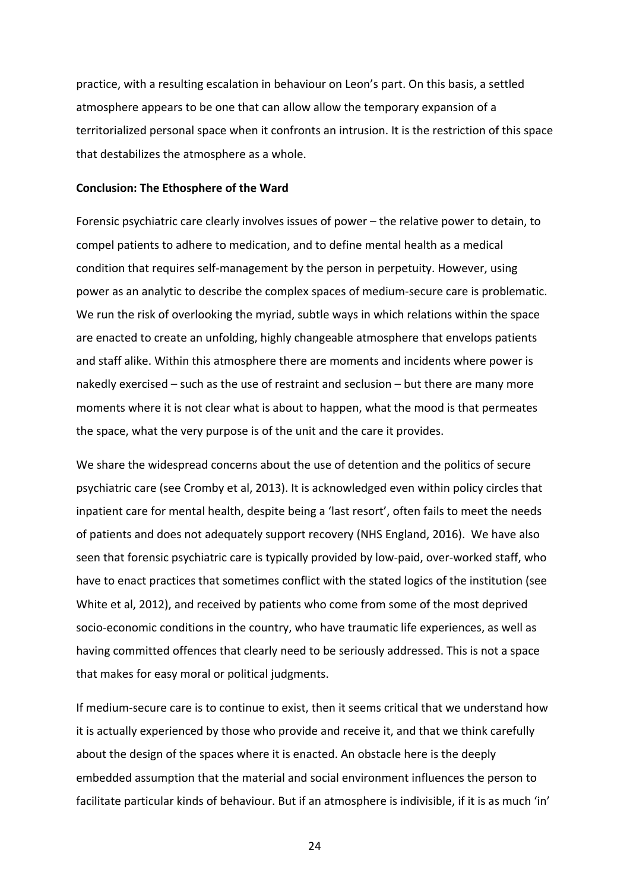practice, with a resulting escalation in behaviour on Leon's part. On this basis, a settled atmosphere appears to be one that can allow allow the temporary expansion of a territorialized personal space when it confronts an intrusion. It is the restriction of this space that destabilizes the atmosphere as a whole.

#### **Conclusion: The Ethosphere of the Ward**

Forensic psychiatric care clearly involves issues of power – the relative power to detain, to compel patients to adhere to medication, and to define mental health as a medical condition that requires self-management by the person in perpetuity. However, using power as an analytic to describe the complex spaces of medium-secure care is problematic. We run the risk of overlooking the myriad, subtle ways in which relations within the space are enacted to create an unfolding, highly changeable atmosphere that envelops patients and staff alike. Within this atmosphere there are moments and incidents where power is nakedly exercised – such as the use of restraint and seclusion – but there are many more moments where it is not clear what is about to happen, what the mood is that permeates the space, what the very purpose is of the unit and the care it provides.

We share the widespread concerns about the use of detention and the politics of secure psychiatric care (see Cromby et al, 2013). It is acknowledged even within policy circles that inpatient care for mental health, despite being a 'last resort', often fails to meet the needs of patients and does not adequately support recovery (NHS England, 2016). We have also seen that forensic psychiatric care is typically provided by low-paid, over-worked staff, who have to enact practices that sometimes conflict with the stated logics of the institution (see White et al, 2012), and received by patients who come from some of the most deprived socio-economic conditions in the country, who have traumatic life experiences, as well as having committed offences that clearly need to be seriously addressed. This is not a space that makes for easy moral or political judgments.

If medium-secure care is to continue to exist, then it seems critical that we understand how it is actually experienced by those who provide and receive it, and that we think carefully about the design of the spaces where it is enacted. An obstacle here is the deeply embedded assumption that the material and social environment influences the person to facilitate particular kinds of behaviour. But if an atmosphere is indivisible, if it is as much 'in'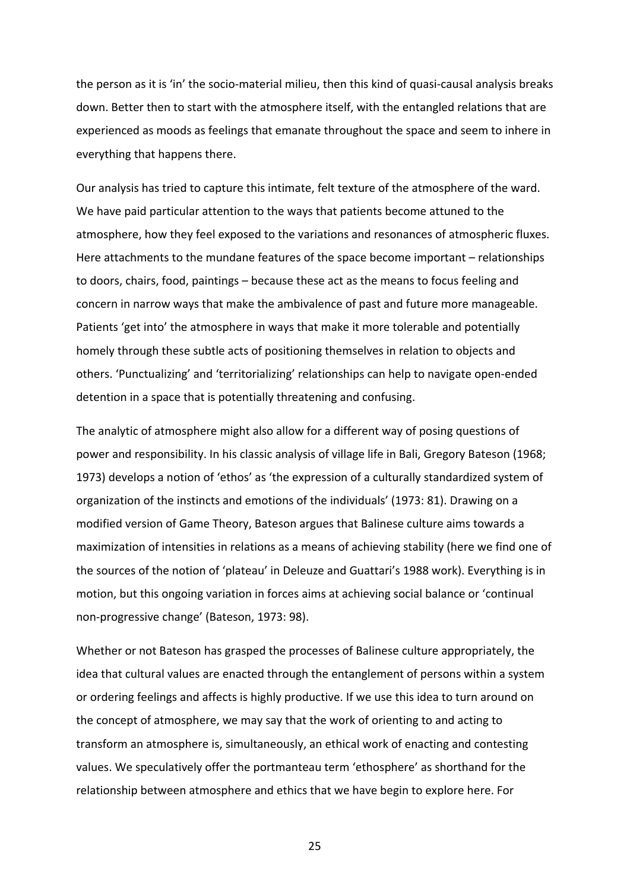the person as it is 'in' the socio-material milieu, then this kind of quasi-causal analysis breaks down. Better then to start with the atmosphere itself, with the entangled relations that are experienced as moods as feelings that emanate throughout the space and seem to inhere in everything that happens there.

Our analysis has tried to capture this intimate, felt texture of the atmosphere of the ward. We have paid particular attention to the ways that patients become attuned to the atmosphere, how they feel exposed to the variations and resonances of atmospheric fluxes. Here attachments to the mundane features of the space become important – relationships to doors, chairs, food, paintings – because these act as the means to focus feeling and concern in narrow ways that make the ambivalence of past and future more manageable. Patients 'get into' the atmosphere in ways that make it more tolerable and potentially homely through these subtle acts of positioning themselves in relation to objects and others. 'Punctualizing' and 'territorializing' relationships can help to navigate open-ended detention in a space that is potentially threatening and confusing.

The analytic of atmosphere might also allow for a different way of posing questions of power and responsibility. In his classic analysis of village life in Bali, Gregory Bateson (1968; 1973) develops a notion of 'ethos' as 'the expression of a culturally standardized system of organization of the instincts and emotions of the individuals' (1973: 81). Drawing on a modified version of Game Theory, Bateson argues that Balinese culture aims towards a maximization of intensities in relations as a means of achieving stability (here we find one of the sources of the notion of 'plateau' in Deleuze and Guattari's 1988 work). Everything is in motion, but this ongoing variation in forces aims at achieving social balance or 'continual non-progressive change' (Bateson, 1973: 98).

Whether or not Bateson has grasped the processes of Balinese culture appropriately, the idea that cultural values are enacted through the entanglement of persons within a system or ordering feelings and affects is highly productive. If we use this idea to turn around on the concept of atmosphere, we may say that the work of orienting to and acting to transform an atmosphere is, simultaneously, an ethical work of enacting and contesting values. We speculatively offer the portmanteau term 'ethosphere' as shorthand for the relationship between atmosphere and ethics that we have begin to explore here. For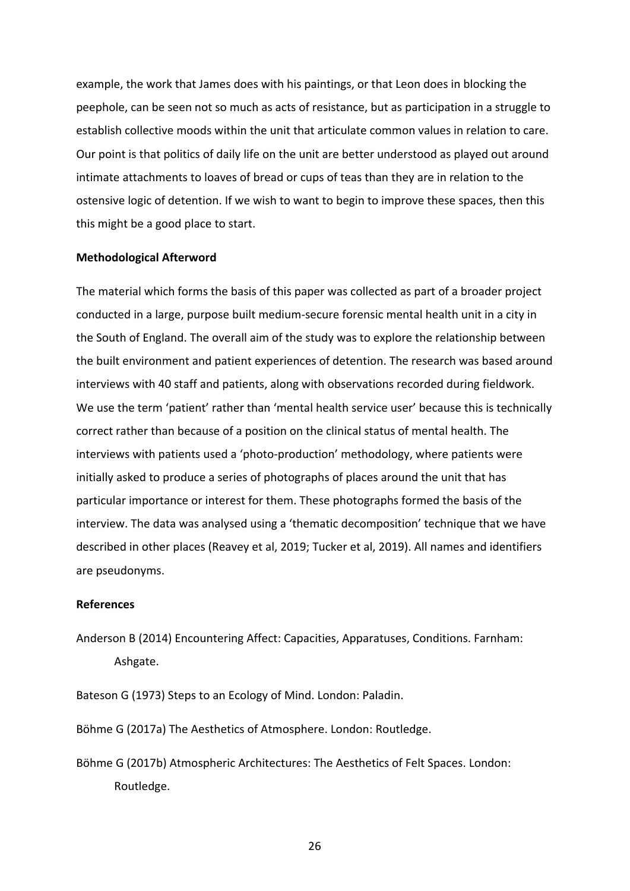example, the work that James does with his paintings, or that Leon does in blocking the peephole, can be seen not so much as acts of resistance, but as participation in a struggle to establish collective moods within the unit that articulate common values in relation to care. Our point is that politics of daily life on the unit are better understood as played out around intimate attachments to loaves of bread or cups of teas than they are in relation to the ostensive logic of detention. If we wish to want to begin to improve these spaces, then this this might be a good place to start.

# **Methodological Afterword**

The material which forms the basis of this paper was collected as part of a broader project conducted in a large, purpose built medium-secure forensic mental health unit in a city in the South of England. The overall aim of the study was to explore the relationship between the built environment and patient experiences of detention. The research was based around interviews with 40 staff and patients, along with observations recorded during fieldwork. We use the term 'patient' rather than 'mental health service user' because this is technically correct rather than because of a position on the clinical status of mental health. The interviews with patients used a 'photo-production' methodology, where patients were initially asked to produce a series of photographs of places around the unit that has particular importance or interest for them. These photographs formed the basis of the interview. The data was analysed using a 'thematic decomposition' technique that we have described in other places (Reavey et al, 2019; Tucker et al, 2019). All names and identifiers are pseudonyms.

#### **References**

Anderson B (2014) Encountering Affect: Capacities, Apparatuses, Conditions. Farnham: Ashgate.

Bateson G (1973) Steps to an Ecology of Mind. London: Paladin.

Böhme G (2017a) The Aesthetics of Atmosphere. London: Routledge.

Böhme G (2017b) Atmospheric Architectures: The Aesthetics of Felt Spaces. London: Routledge.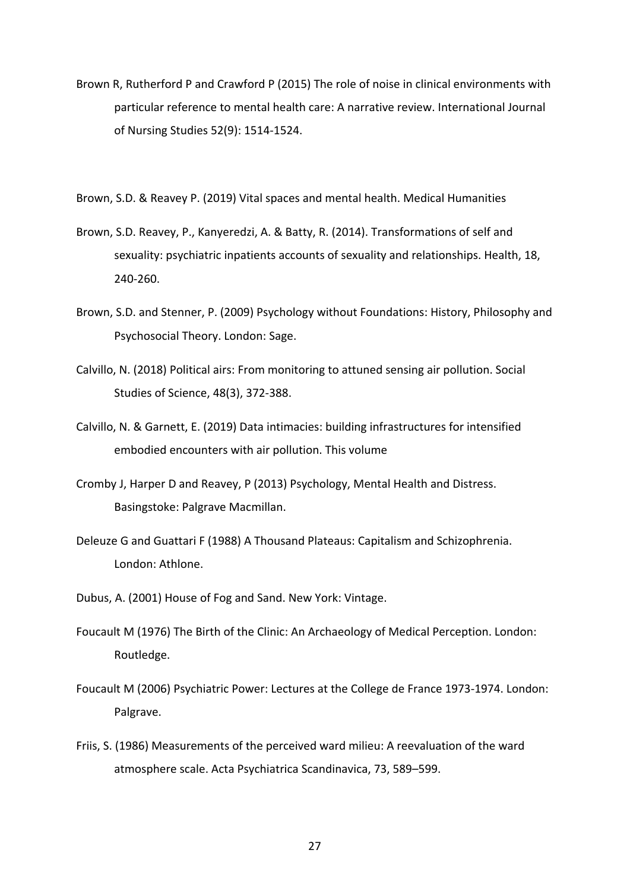Brown R, Rutherford P and Crawford P (2015) The role of noise in clinical environments with particular reference to mental health care: A narrative review. International Journal of Nursing Studies 52(9): 1514-1524.

Brown, S.D. & Reavey P. (2019) Vital spaces and mental health. Medical Humanities

- Brown, S.D. Reavey, P., Kanyeredzi, A. & Batty, R. (2014). Transformations of self and sexuality: psychiatric inpatients accounts of sexuality and relationships. Health, 18, 240-260.
- Brown, S.D. and Stenner, P. (2009) Psychology without Foundations: History, Philosophy and Psychosocial Theory. London: Sage.
- Calvillo, N. (2018) Political airs: From monitoring to attuned sensing air pollution. Social Studies of Science, 48(3), 372-388.
- Calvillo, N. & Garnett, E. (2019) Data intimacies: building infrastructures for intensified embodied encounters with air pollution. This volume
- Cromby J, Harper D and Reavey, P (2013) Psychology, Mental Health and Distress. Basingstoke: Palgrave Macmillan.
- Deleuze G and Guattari F (1988) A Thousand Plateaus: Capitalism and Schizophrenia. London: Athlone.

Dubus, A. (2001) House of Fog and Sand. New York: Vintage.

- Foucault M (1976) The Birth of the Clinic: An Archaeology of Medical Perception. London: Routledge.
- Foucault M (2006) Psychiatric Power: Lectures at the College de France 1973-1974. London: Palgrave.
- Friis, S. (1986) Measurements of the perceived ward milieu: A reevaluation of the ward atmosphere scale. Acta Psychiatrica Scandinavica, 73, 589–599.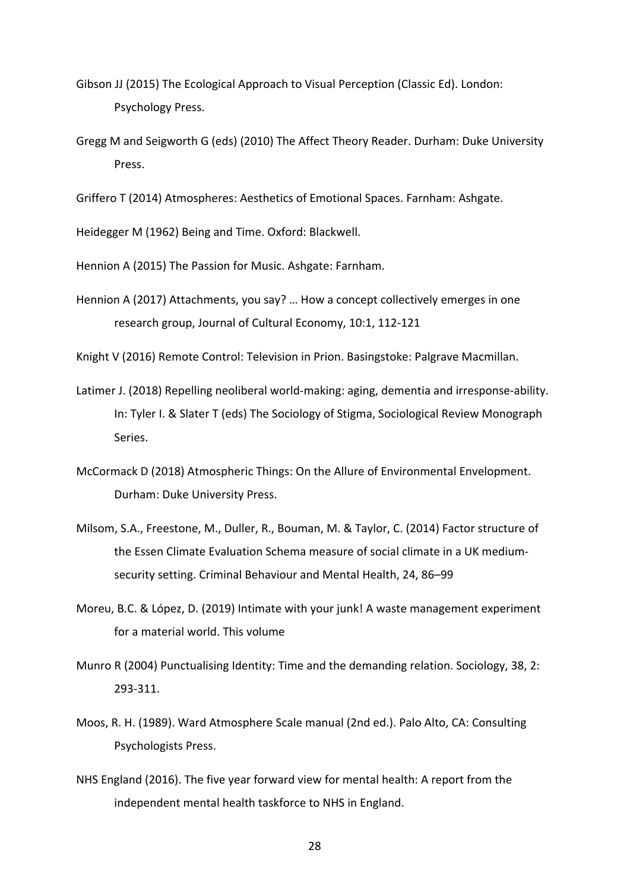- Gibson JJ (2015) The Ecological Approach to Visual Perception (Classic Ed). London: Psychology Press.
- Gregg M and Seigworth G (eds) (2010) The Affect Theory Reader. Durham: Duke University **Press**

Griffero T (2014) Atmospheres: Aesthetics of Emotional Spaces. Farnham: Ashgate.

Heidegger M (1962) Being and Time. Oxford: Blackwell.

Hennion A (2015) The Passion for Music. Ashgate: Farnham.

Hennion A (2017) Attachments, you say? … How a concept collectively emerges in one research group, Journal of Cultural Economy, 10:1, 112-121

Knight V (2016) Remote Control: Television in Prion. Basingstoke: Palgrave Macmillan.

- Latimer J. (2018) Repelling neoliberal world-making: aging, dementia and irresponse-ability. In: Tyler I. & Slater T (eds) The Sociology of Stigma, Sociological Review Monograph Series.
- McCormack D (2018) Atmospheric Things: On the Allure of Environmental Envelopment. Durham: Duke University Press.
- Milsom, S.A., Freestone, M., Duller, R., Bouman, M. & Taylor, C. (2014) Factor structure of the Essen Climate Evaluation Schema measure of social climate in a UK mediumsecurity setting. Criminal Behaviour and Mental Health, 24, 86–99
- Moreu, B.C. & López, D. (2019) Intimate with your junk! A waste management experiment for a material world. This volume
- Munro R (2004) Punctualising Identity: Time and the demanding relation. Sociology, 38, 2: 293-311.
- Moos, R. H. (1989). Ward Atmosphere Scale manual (2nd ed.). Palo Alto, CA: Consulting Psychologists Press.
- NHS England (2016). The five year forward view for mental health: A report from the independent mental health taskforce to NHS in England.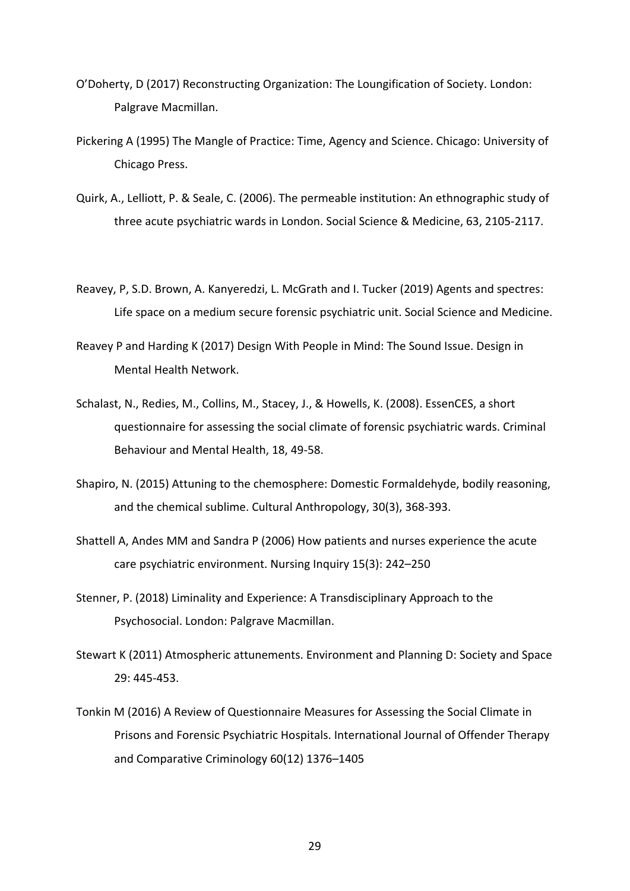- O'Doherty, D (2017) Reconstructing Organization: The Loungification of Society. London: Palgrave Macmillan.
- Pickering A (1995) The Mangle of Practice: Time, Agency and Science. Chicago: University of Chicago Press.
- Quirk, A., Lelliott, P. & Seale, C. (2006). The permeable institution: An ethnographic study of three acute psychiatric wards in London. Social Science & Medicine, 63, 2105-2117.
- Reavey, P, S.D. Brown, A. Kanyeredzi, L. McGrath and I. Tucker (2019) Agents and spectres: Life space on a medium secure forensic psychiatric unit. Social Science and Medicine.
- Reavey P and Harding K (2017) Design With People in Mind: The Sound Issue. Design in Mental Health Network.
- Schalast, N., Redies, M., Collins, M., Stacey, J., & Howells, K. (2008). EssenCES, a short questionnaire for assessing the social climate of forensic psychiatric wards. Criminal Behaviour and Mental Health, 18, 49-58.
- Shapiro, N. (2015) Attuning to the chemosphere: Domestic Formaldehyde, bodily reasoning, and the chemical sublime. Cultural Anthropology, 30(3), 368-393.
- Shattell A, Andes MM and Sandra P (2006) How patients and nurses experience the acute care psychiatric environment. Nursing Inquiry 15(3): 242–250
- Stenner, P. (2018) Liminality and Experience: A Transdisciplinary Approach to the Psychosocial. London: Palgrave Macmillan.
- Stewart K (2011) Atmospheric attunements. Environment and Planning D: Society and Space 29: 445-453.
- Tonkin M (2016) A Review of Questionnaire Measures for Assessing the Social Climate in Prisons and Forensic Psychiatric Hospitals. International Journal of Offender Therapy and Comparative Criminology 60(12) 1376–1405